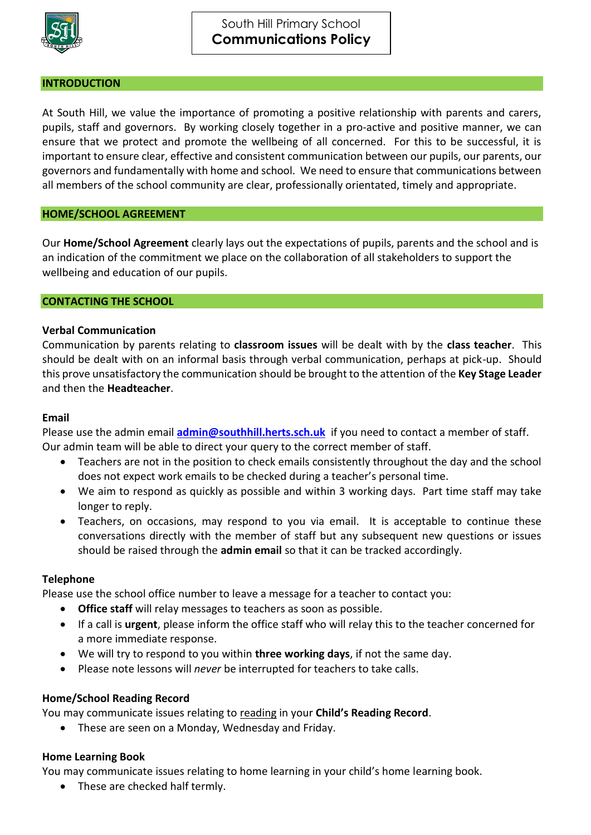

## **INTRODUCTION**

At South Hill, we value the importance of promoting a positive relationship with parents and carers, pupils, staff and governors. By working closely together in a pro-active and positive manner, we can ensure that we protect and promote the wellbeing of all concerned. For this to be successful, it is important to ensure clear, effective and consistent communication between our pupils, our parents, our governors and fundamentally with home and school. We need to ensure that communications between all members of the school community are clear, professionally orientated, timely and appropriate.

# **HOME/SCHOOL AGREEMENT**

Our **Home/School Agreement** clearly lays out the expectations of pupils, parents and the school and is an indication of the commitment we place on the collaboration of all stakeholders to support the wellbeing and education of our pupils.

## **CONTACTING THE SCHOOL**

# **Verbal Communication**

Communication by parents relating to **classroom issues** will be dealt with by the **class teacher**. This should be dealt with on an informal basis through verbal communication, perhaps at pick-up. Should this prove unsatisfactory the communication should be brought to the attention of the **Key Stage Leader** and then the **Headteacher**.

### **Email**

Please use the admin email **[admin@southhill.herts.sch.uk](mailto:admin@southhill.herts.sch.uk)** if you need to contact a member of staff. Our admin team will be able to direct your query to the correct member of staff.

- Teachers are not in the position to check emails consistently throughout the day and the school does not expect work emails to be checked during a teacher's personal time.
- We aim to respond as quickly as possible and within 3 working days. Part time staff may take longer to reply.
- Teachers, on occasions, may respond to you via email. It is acceptable to continue these conversations directly with the member of staff but any subsequent new questions or issues should be raised through the **admin email** so that it can be tracked accordingly.

#### **Telephone**

Please use the school office number to leave a message for a teacher to contact you:

- **Office staff** will relay messages to teachers as soon as possible.
- If a call is **urgent**, please inform the office staff who will relay this to the teacher concerned for a more immediate response.
- We will try to respond to you within **three working days**, if not the same day.
- Please note lessons will *never* be interrupted for teachers to take calls.

# **Home/School Reading Record**

You may communicate issues relating to reading in your **Child's Reading Record**.

These are seen on a Monday, Wednesday and Friday.

# **Home Learning Book**

You may communicate issues relating to home learning in your child's home learning book.

• These are checked half termly.